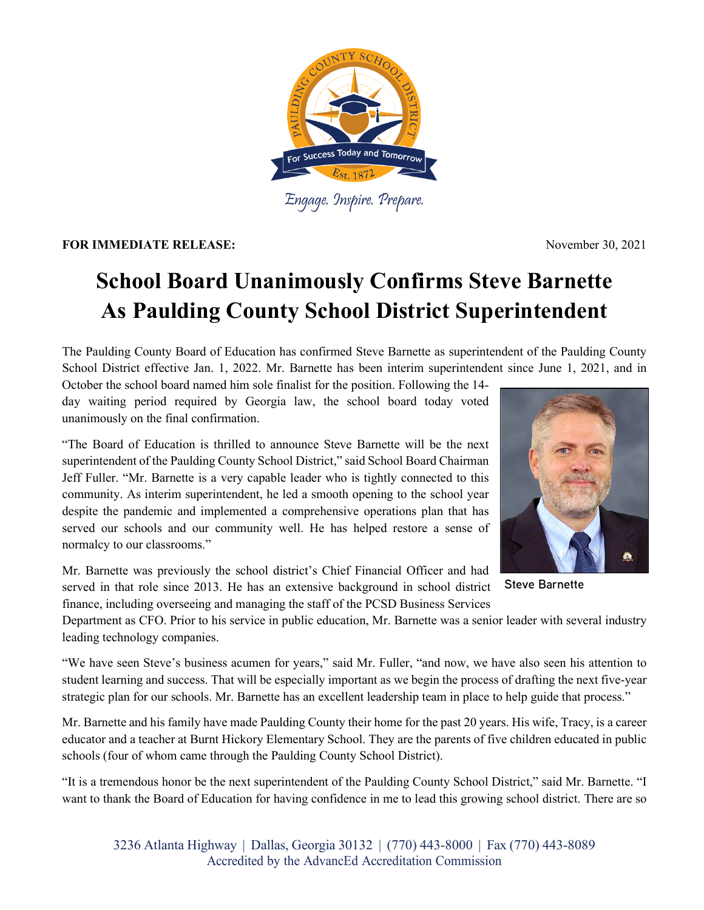

Engage. Inspire. Prepare.

**FOR IMMEDIATE RELEASE:** November 30, 2021

## **School Board Unanimously Confirms Steve Barnette As Paulding County School District Superintendent**

The Paulding County Board of Education has confirmed Steve Barnette as superintendent of the Paulding County School District effective Jan. 1, 2022. Mr. Barnette has been interim superintendent since June 1, 2021, and in

October the school board named him sole finalist for the position. Following the 14 day waiting period required by Georgia law, the school board today voted unanimously on the final confirmation.

"The Board of Education is thrilled to announce Steve Barnette will be the next superintendent of the Paulding County School District," said School Board Chairman Jeff Fuller. "Mr. Barnette is a very capable leader who is tightly connected to this community. As interim superintendent, he led a smooth opening to the school year despite the pandemic and implemented a comprehensive operations plan that has served our schools and our community well. He has helped restore a sense of normalcy to our classrooms."

Mr. Barnette was previously the school district's Chief Financial Officer and had served in that role since 2013. He has an extensive background in school district finance, including overseeing and managing the staff of the PCSD Business Services

Department as CFO. Prior to his service in public education, Mr. Barnette was a senior leader with several industry leading technology companies.

"We have seen Steve's business acumen for years," said Mr. Fuller, "and now, we have also seen his attention to student learning and success. That will be especially important as we begin the process of drafting the next five-year strategic plan for our schools. Mr. Barnette has an excellent leadership team in place to help guide that process."

Mr. Barnette and his family have made Paulding County their home for the past 20 years. His wife, Tracy, is a career educator and a teacher at Burnt Hickory Elementary School. They are the parents of five children educated in public schools (four of whom came through the Paulding County School District).

"It is a tremendous honor be the next superintendent of the Paulding County School District," said Mr. Barnette. "I want to thank the Board of Education for having confidence in me to lead this growing school district. There are so



**Steve Barnette**